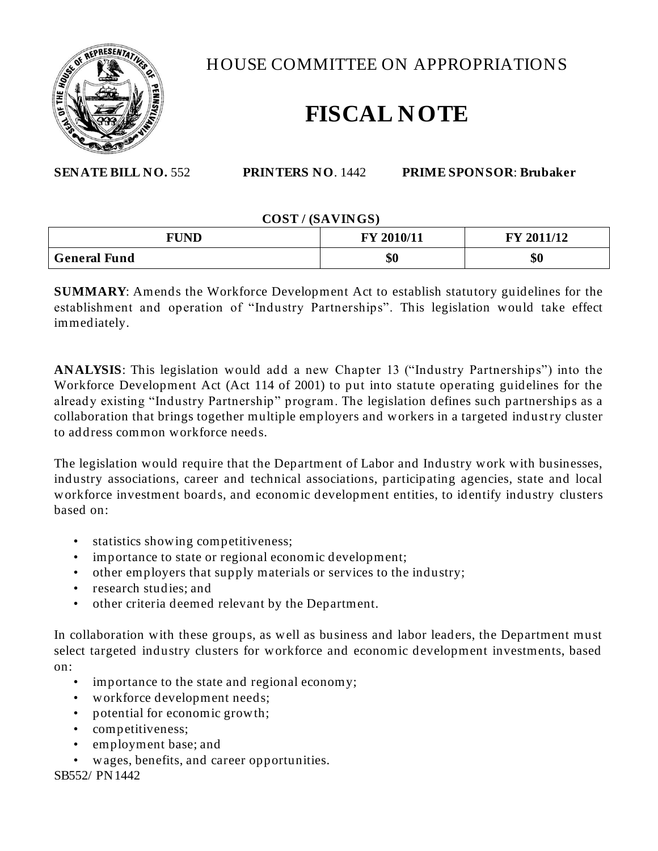

HOUSE COMMITTEE ON APPROPRIATIONS

## **FISCAL NOTE**

**SENATE BILL NO.** 552 **PRINTERS NO**. 1442 **PRIME SPONSOR**: **Brubaker**

## **COST / (SAVINGS)**

| <b>FUND</b>         | FY 2010/11 | FY 2011/12 |
|---------------------|------------|------------|
| <b>General Fund</b> | \$0        | \$0        |

**SUMMARY**: Amends the Workforce Development Act to establish statutory guidelines for the establishment and operation of "Industry Partnerships". This legislation would take effect immediately.

**ANALYSIS**: This legislation would add a new Chapter 13 ("Industry Partnerships") into the Workforce Development Act (Act 114 of 2001) to put into statute operating guidelines for the already existing "Industry Partnership" program. The legislation defines such partnerships as a collaboration that brings together multiple employers and workers in a targeted industry cluster to address common workforce needs.

The legislation would require that the Department of Labor and Industry work with businesses, industry associations, career and technical associations, participating agencies, state and local workforce investment boards, and economic development entities, to identify industry clusters based on:

- statistics showing competitiveness;
- importance to state or regional economic development;
- other employers that supply materials or services to the industry;
- research studies; and
- other criteria deemed relevant by the Department.

In collaboration with these groups, as well as business and labor leaders, the Department must select targeted industry clusters for workforce and economic development investments, based on:

- importance to the state and regional economy;
- workforce development needs;
- potential for economic growth;
- competitiveness;
- employment base; and
- wages, benefits, and career opportunities.

SB552/ PN1442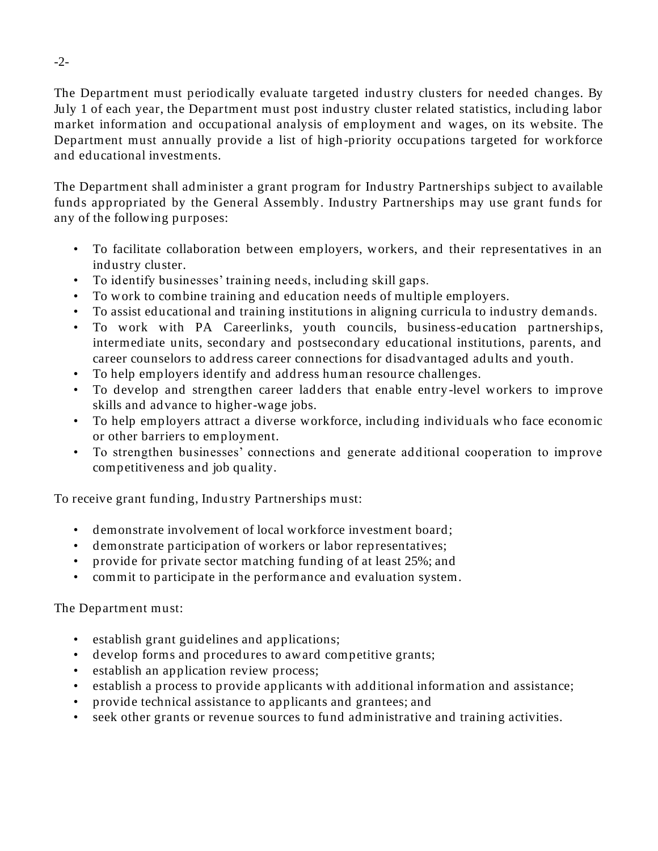The Department must periodically evaluate targeted industry clusters for needed changes. By July 1 of each year, the Department must post industry cluster related statistics, including labor market information and occupational analysis of employment and wages, on its website. The Department must annually provide a list of high -priority occupations targeted for workforce and educational investments.

The Department shall administer a grant program for Industry Partnerships subject to available funds appropriated by the General Assembly. Industry Partnerships may use grant funds for any of the following purposes:

- To facilitate collaboration between employers, workers, and their representatives in an industry cluster.
- To identify businesses' training needs, including skill gaps.
- To work to combine training and education needs of multiple employers.
- To assist educational and training institutions in aligning curricula to industry demands.
- To work with PA Careerlinks, youth councils, business-education partnerships, intermediate units, secondary and postsecondary educational institutions, parents, and career counselors to address career connections for disadvantaged adults and youth.
- To help employers identify and address human resource challenges.
- To develop and strengthen career ladders that enable entry-level workers to improve skills and advance to higher-wage jobs.
- To help employers attract a diverse workforce, including individuals who face economic or other barriers to employment.
- To strengthen businesses' connections and generate additional cooperation to improve competitiveness and job quality.

To receive grant funding, Indu stry Partnerships must:

- demonstrate involvement of local workforce investment board;
- demonstrate participation of workers or labor representatives;
- provide for private sector matching funding of at least 25%; and
- commit to participate in the performance and evaluation system.

The Department must:

- establish grant guidelines and applications;
- develop forms and procedures to award competitive grants;
- establish an application review process;
- establish a process to provide applicants with additional information and assistance;
- provide technical assistance to applicants and grantees; and
- seek other grants or revenue sources to fund administrative and training activities.

-2-